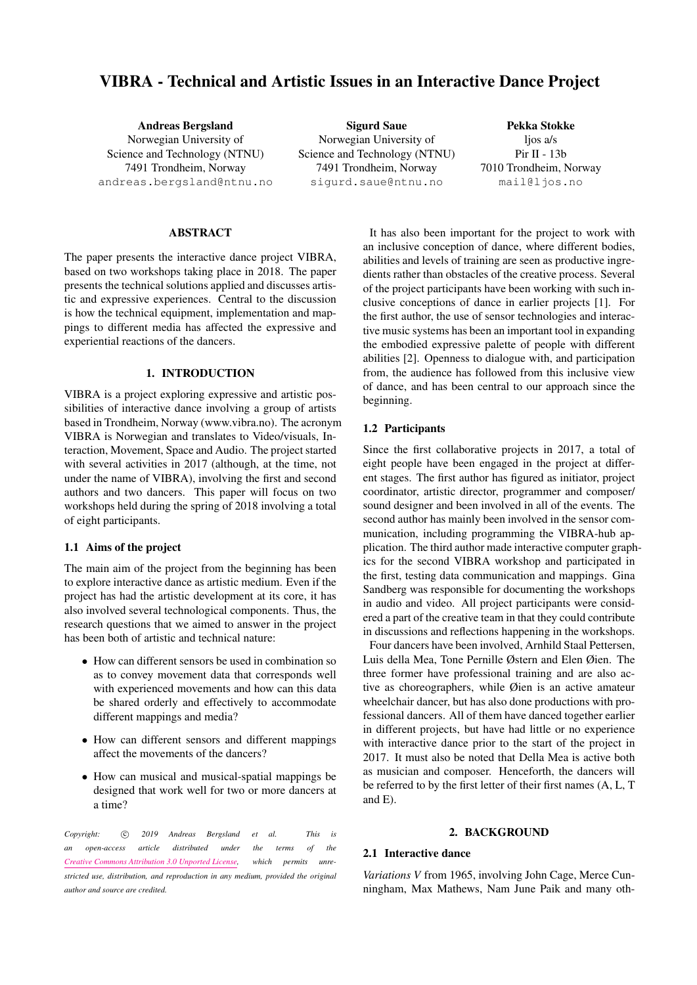# VIBRA - Technical and Artistic Issues in an Interactive Dance Project

Andreas Bergsland Norwegian University of Science and Technology (NTNU) 7491 Trondheim, Norway [andreas.bergsland@ntnu.no](mailto:andreas.bergsland@ntnu.no)

Sigurd Saue Norwegian University of Science and Technology (NTNU) 7491 Trondheim, Norway [sigurd.saue@ntnu.no](mailto:sigurd.saue@ntnu.no)

Pekka Stokke ljos a/s Pir II - 13b 7010 Trondheim, Norway [mail@ljos.no](mailto:mail@ljos.no)

### ABSTRACT

The paper presents the interactive dance project VIBRA, based on two workshops taking place in 2018. The paper presents the technical solutions applied and discusses artistic and expressive experiences. Central to the discussion is how the technical equipment, implementation and mappings to different media has affected the expressive and experiential reactions of the dancers.

#### 1. INTRODUCTION

VIBRA is a project exploring expressive and artistic possibilities of interactive dance involving a group of artists based in Trondheim, Norway (www.vibra.no). The acronym VIBRA is Norwegian and translates to Video/visuals, Interaction, Movement, Space and Audio. The project started with several activities in 2017 (although, at the time, not under the name of VIBRA), involving the first and second authors and two dancers. This paper will focus on two workshops held during the spring of 2018 involving a total of eight participants.

# 1.1 Aims of the project

The main aim of the project from the beginning has been to explore interactive dance as artistic medium. Even if the project has had the artistic development at its core, it has also involved several technological components. Thus, the research questions that we aimed to answer in the project has been both of artistic and technical nature:

- How can different sensors be used in combination so as to convey movement data that corresponds well with experienced movements and how can this data be shared orderly and effectively to accommodate different mappings and media?
- How can different sensors and different mappings affect the movements of the dancers?
- How can musical and musical-spatial mappings be designed that work well for two or more dancers at a time?

Copyright: 
C 2019 Andreas Bergsland et al. This is *an open-access article distributed under the terms of the [Creative Commons Attribution 3.0 Unported License,](http://creativecommons.org/licenses/by/3.0/) which permits unrestricted use, distribution, and reproduction in any medium, provided the original author and source are credited.*

It has also been important for the project to work with an inclusive conception of dance, where different bodies, abilities and levels of training are seen as productive ingredients rather than obstacles of the creative process. Several of the project participants have been working with such inclusive conceptions of dance in earlier projects [\[1\]](#page-6-0). For the first author, the use of sensor technologies and interactive music systems has been an important tool in expanding the embodied expressive palette of people with different abilities [\[2\]](#page-6-1). Openness to dialogue with, and participation from, the audience has followed from this inclusive view of dance, and has been central to our approach since the beginning.

# 1.2 Participants

Since the first collaborative projects in 2017, a total of eight people have been engaged in the project at different stages. The first author has figured as initiator, project coordinator, artistic director, programmer and composer/ sound designer and been involved in all of the events. The second author has mainly been involved in the sensor communication, including programming the VIBRA-hub application. The third author made interactive computer graphics for the second VIBRA workshop and participated in the first, testing data communication and mappings. Gina Sandberg was responsible for documenting the workshops in audio and video. All project participants were considered a part of the creative team in that they could contribute in discussions and reflections happening in the workshops.

Four dancers have been involved, Arnhild Staal Pettersen, Luis della Mea, Tone Pernille Østern and Elen Øien. The three former have professional training and are also active as choreographers, while Øien is an active amateur wheelchair dancer, but has also done productions with professional dancers. All of them have danced together earlier in different projects, but have had little or no experience with interactive dance prior to the start of the project in 2017. It must also be noted that Della Mea is active both as musician and composer. Henceforth, the dancers will be referred to by the first letter of their first names (A, L, T and E).

### 2. BACKGROUND

# 2.1 Interactive dance

*Variations V* from 1965, involving John Cage, Merce Cunningham, Max Mathews, Nam June Paik and many oth-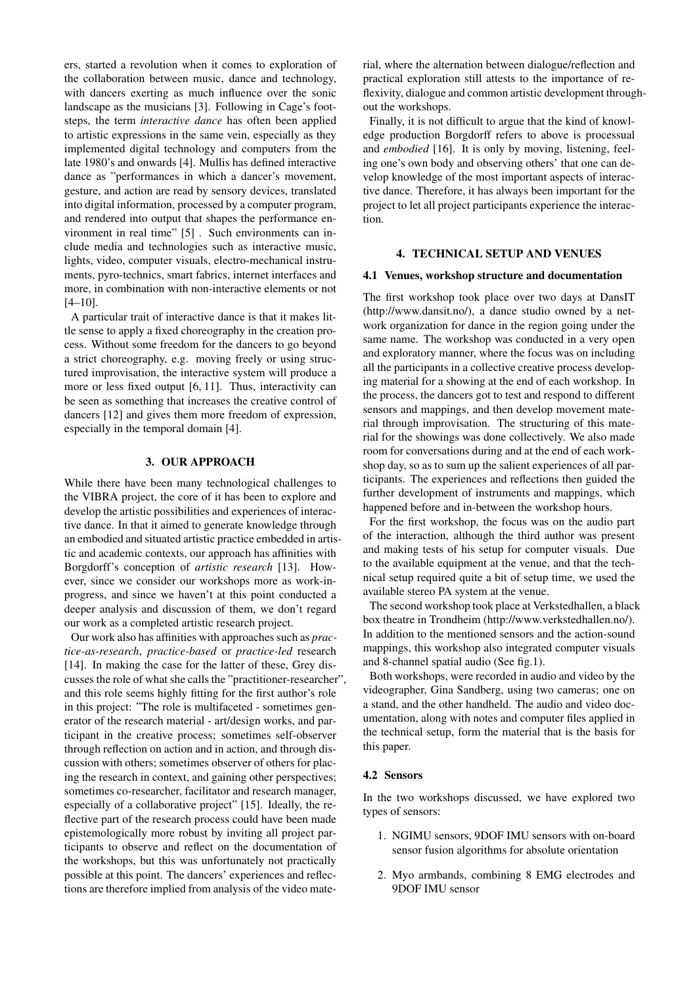ers, started a revolution when it comes to exploration of the collaboration between music, dance and technology, with dancers exerting as much influence over the sonic landscape as the musicians [\[3\]](#page-7-0). Following in Cage's footsteps, the term *interactive dance* has often been applied to artistic expressions in the same vein, especially as they implemented digital technology and computers from the late 1980's and onwards [\[4\]](#page-7-1). Mullis has defined interactive dance as "performances in which a dancer's movement, gesture, and action are read by sensory devices, translated into digital information, processed by a computer program, and rendered into output that shapes the performance environment in real time" [\[5\]](#page-7-2) . Such environments can include media and technologies such as interactive music, lights, video, computer visuals, electro-mechanical instruments, pyro-technics, smart fabrics, internet interfaces and more, in combination with non-interactive elements or not  $[4-10]$  $[4-10]$ .

A particular trait of interactive dance is that it makes little sense to apply a fixed choreography in the creation process. Without some freedom for the dancers to go beyond a strict choreography, e.g. moving freely or using structured improvisation, the interactive system will produce a more or less fixed output [\[6,](#page-7-4) [11\]](#page-7-5). Thus, interactivity can be seen as something that increases the creative control of dancers [\[12\]](#page-7-6) and gives them more freedom of expression, especially in the temporal domain [\[4\]](#page-7-1).

# 3. OUR APPROACH

While there have been many technological challenges to the VIBRA project, the core of it has been to explore and develop the artistic possibilities and experiences of interactive dance. In that it aimed to generate knowledge through an embodied and situated artistic practice embedded in artistic and academic contexts, our approach has affinities with Borgdorff's conception of *artistic research* [\[13\]](#page-7-7). However, since we consider our workshops more as work-inprogress, and since we haven't at this point conducted a deeper analysis and discussion of them, we don't regard our work as a completed artistic research project.

Our work also has affinities with approaches such as *practice-as-research*, *practice-based* or *practice-led* research [\[14\]](#page-7-8). In making the case for the latter of these, Grey discusses the role of what she calls the "practitioner-researcher", and this role seems highly fitting for the first author's role in this project: "The role is multifaceted - sometimes generator of the research material - art/design works, and participant in the creative process; sometimes self-observer through reflection on action and in action, and through discussion with others; sometimes observer of others for placing the research in context, and gaining other perspectives; sometimes co-researcher, facilitator and research manager, especially of a collaborative project" [\[15\]](#page-7-9). Ideally, the reflective part of the research process could have been made epistemologically more robust by inviting all project participants to observe and reflect on the documentation of the workshops, but this was unfortunately not practically possible at this point. The dancers' experiences and reflections are therefore implied from analysis of the video material, where the alternation between dialogue/reflection and practical exploration still attests to the importance of reflexivity, dialogue and common artistic development throughout the workshops.

Finally, it is not difficult to argue that the kind of knowledge production Borgdorff refers to above is processual and *embodied* [\[16\]](#page-7-10). It is only by moving, listening, feeling one's own body and observing others' that one can develop knowledge of the most important aspects of interactive dance. Therefore, it has always been important for the project to let all project participants experience the interaction.

### 4. TECHNICAL SETUP AND VENUES

#### 4.1 Venues, workshop structure and documentation

The first workshop took place over two days at DansIT (http://www.dansit.no/), a dance studio owned by a network organization for dance in the region going under the same name. The workshop was conducted in a very open and exploratory manner, where the focus was on including all the participants in a collective creative process developing material for a showing at the end of each workshop. In the process, the dancers got to test and respond to different sensors and mappings, and then develop movement material through improvisation. The structuring of this material for the showings was done collectively. We also made room for conversations during and at the end of each workshop day, so as to sum up the salient experiences of all participants. The experiences and reflections then guided the further development of instruments and mappings, which happened before and in-between the workshop hours.

For the first workshop, the focus was on the audio part of the interaction, although the third author was present and making tests of his setup for computer visuals. Due to the available equipment at the venue, and that the technical setup required quite a bit of setup time, we used the available stereo PA system at the venue.

The second workshop took place at Verkstedhallen, a black box theatre in Trondheim (http://www.verkstedhallen.no/). In addition to the mentioned sensors and the action-sound mappings, this workshop also integrated computer visuals and 8-channel spatial audio (See fig[.1\)](#page-3-0).

Both workshops, were recorded in audio and video by the videographer, Gina Sandberg, using two cameras; one on a stand, and the other handheld. The audio and video documentation, along with notes and computer files applied in the technical setup, form the material that is the basis for this paper.

#### 4.2 Sensors

In the two workshops discussed, we have explored two types of sensors:

- 1. NGIMU sensors, 9DOF IMU sensors with on-board sensor fusion algorithms for absolute orientation
- 2. Myo armbands, combining 8 EMG electrodes and 9DOF IMU sensor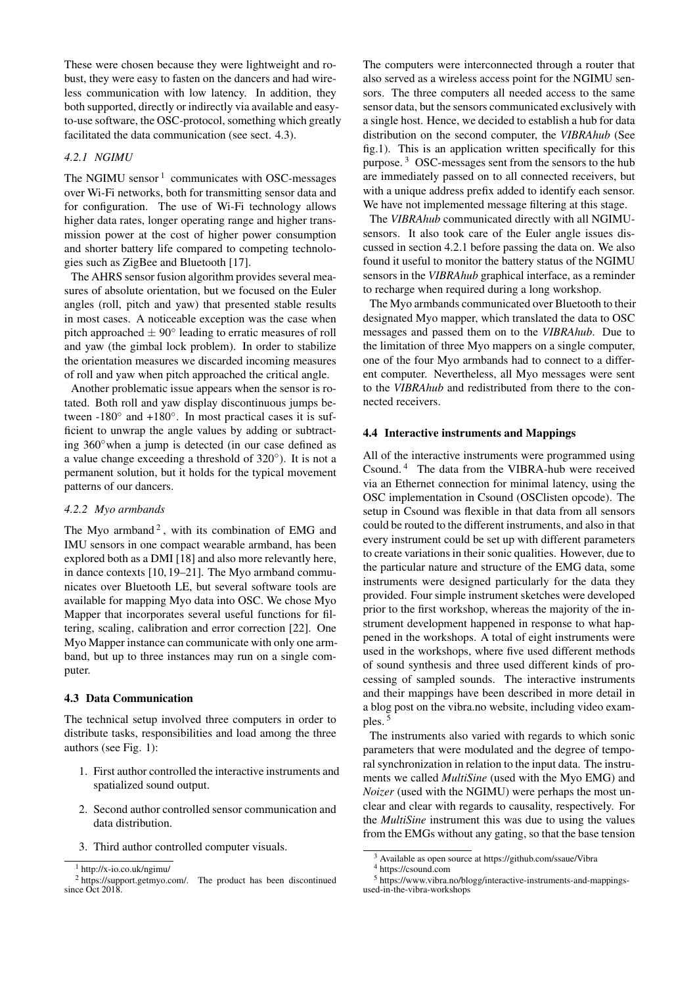These were chosen because they were lightweight and robust, they were easy to fasten on the dancers and had wireless communication with low latency. In addition, they both supported, directly or indirectly via available and easyto-use software, the OSC-protocol, something which greatly facilitated the data communication (see sect. [4.3\)](#page-2-0).

# <span id="page-2-4"></span>*4.2.1 NGIMU*

The NGIMU sensor  $1$  communicates with OSC-messages over Wi-Fi networks, both for transmitting sensor data and for configuration. The use of Wi-Fi technology allows higher data rates, longer operating range and higher transmission power at the cost of higher power consumption and shorter battery life compared to competing technologies such as ZigBee and Bluetooth [\[17\]](#page-7-11).

The AHRS sensor fusion algorithm provides several measures of absolute orientation, but we focused on the Euler angles (roll, pitch and yaw) that presented stable results in most cases. A noticeable exception was the case when pitch approached  $\pm 90^\circ$  leading to erratic measures of roll and yaw (the gimbal lock problem). In order to stabilize the orientation measures we discarded incoming measures of roll and yaw when pitch approached the critical angle.

Another problematic issue appears when the sensor is rotated. Both roll and yaw display discontinuous jumps between  $-180^\circ$  and  $+180^\circ$ . In most practical cases it is sufficient to unwrap the angle values by adding or subtracting 360◦when a jump is detected (in our case defined as a value change exceeding a threshold of 320◦ ). It is not a permanent solution, but it holds for the typical movement patterns of our dancers.

#### *4.2.2 Myo armbands*

The Myo armband<sup>[2](#page-2-2)</sup>, with its combination of EMG and IMU sensors in one compact wearable armband, has been explored both as a DMI [\[18\]](#page-7-12) and also more relevantly here, in dance contexts [\[10,](#page-7-3) [19–](#page-7-13)[21\]](#page-7-14). The Myo armband communicates over Bluetooth LE, but several software tools are available for mapping Myo data into OSC. We chose Myo Mapper that incorporates several useful functions for filtering, scaling, calibration and error correction [\[22\]](#page-7-15). One Myo Mapper instance can communicate with only one armband, but up to three instances may run on a single computer.

#### <span id="page-2-0"></span>4.3 Data Communication

The technical setup involved three computers in order to distribute tasks, responsibilities and load among the three authors (see Fig. [1\)](#page-3-0):

- 1. First author controlled the interactive instruments and spatialized sound output.
- 2. Second author controlled sensor communication and data distribution.
- 3. Third author controlled computer visuals.

The computers were interconnected through a router that also served as a wireless access point for the NGIMU sensors. The three computers all needed access to the same sensor data, but the sensors communicated exclusively with a single host. Hence, we decided to establish a hub for data distribution on the second computer, the *VIBRAhub* (See fig[.1\)](#page-3-0). This is an application written specifically for this purpose. [3](#page-2-3) OSC-messages sent from the sensors to the hub are immediately passed on to all connected receivers, but with a unique address prefix added to identify each sensor. We have not implemented message filtering at this stage.

The *VIBRAhub* communicated directly with all NGIMUsensors. It also took care of the Euler angle issues discussed in section [4.2.1](#page-2-4) before passing the data on. We also found it useful to monitor the battery status of the NGIMU sensors in the *VIBRAhub* graphical interface, as a reminder to recharge when required during a long workshop.

The Myo armbands communicated over Bluetooth to their designated Myo mapper, which translated the data to OSC messages and passed them on to the *VIBRAhub*. Due to the limitation of three Myo mappers on a single computer, one of the four Myo armbands had to connect to a different computer. Nevertheless, all Myo messages were sent to the *VIBRAhub* and redistributed from there to the connected receivers.

#### 4.4 Interactive instruments and Mappings

All of the interactive instruments were programmed using Csound. [4](#page-2-5) The data from the VIBRA-hub were received via an Ethernet connection for minimal latency, using the OSC implementation in Csound (OSClisten opcode). The setup in Csound was flexible in that data from all sensors could be routed to the different instruments, and also in that every instrument could be set up with different parameters to create variations in their sonic qualities. However, due to the particular nature and structure of the EMG data, some instruments were designed particularly for the data they provided. Four simple instrument sketches were developed prior to the first workshop, whereas the majority of the instrument development happened in response to what happened in the workshops. A total of eight instruments were used in the workshops, where five used different methods of sound synthesis and three used different kinds of processing of sampled sounds. The interactive instruments and their mappings have been described in more detail in a blog post on the vibra.no website, including video exam-ples.<sup>[5](#page-2-6)</sup>

The instruments also varied with regards to which sonic parameters that were modulated and the degree of temporal synchronization in relation to the input data. The instruments we called *MultiSine* (used with the Myo EMG) and *Noizer* (used with the NGIMU) were perhaps the most unclear and clear with regards to causality, respectively. For the *MultiSine* instrument this was due to using the values from the EMGs without any gating, so that the base tension

<span id="page-2-2"></span><span id="page-2-1"></span> $1$  http://x-io.co.uk/ngimu/

<sup>&</sup>lt;sup>2</sup> https://support.getmyo.com/. The product has been discontinued since Oct 2018

<span id="page-2-3"></span><sup>3</sup> Available as open source at https://github.com/ssaue/Vibra

<span id="page-2-6"></span><span id="page-2-5"></span><sup>4</sup> https://csound.com

<sup>5</sup> https://www.vibra.no/blogg/interactive-instruments-and-mappingsused-in-the-vibra-workshops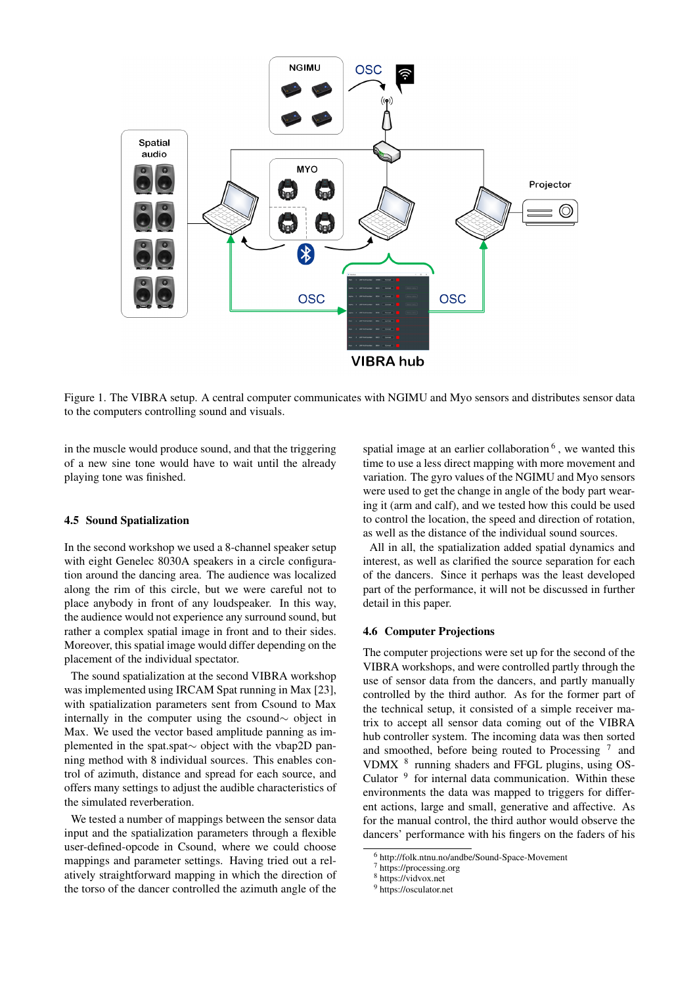

<span id="page-3-0"></span>Figure 1. The VIBRA setup. A central computer communicates with NGIMU and Myo sensors and distributes sensor data to the computers controlling sound and visuals.

in the muscle would produce sound, and that the triggering of a new sine tone would have to wait until the already playing tone was finished.

#### 4.5 Sound Spatialization

In the second workshop we used a 8-channel speaker setup with eight Genelec 8030A speakers in a circle configuration around the dancing area. The audience was localized along the rim of this circle, but we were careful not to place anybody in front of any loudspeaker. In this way, the audience would not experience any surround sound, but rather a complex spatial image in front and to their sides. Moreover, this spatial image would differ depending on the placement of the individual spectator.

The sound spatialization at the second VIBRA workshop was implemented using IRCAM Spat running in Max [\[23\]](#page-7-16), with spatialization parameters sent from Csound to Max internally in the computer using the csound∼ object in Max. We used the vector based amplitude panning as implemented in the spat.spat∼ object with the vbap2D panning method with 8 individual sources. This enables control of azimuth, distance and spread for each source, and offers many settings to adjust the audible characteristics of the simulated reverberation.

We tested a number of mappings between the sensor data input and the spatialization parameters through a flexible user-defined-opcode in Csound, where we could choose mappings and parameter settings. Having tried out a relatively straightforward mapping in which the direction of the torso of the dancer controlled the azimuth angle of the

spatial image at an earlier collaboration <sup>[6](#page-3-1)</sup>, we wanted this time to use a less direct mapping with more movement and variation. The gyro values of the NGIMU and Myo sensors were used to get the change in angle of the body part wearing it (arm and calf), and we tested how this could be used to control the location, the speed and direction of rotation, as well as the distance of the individual sound sources.

All in all, the spatialization added spatial dynamics and interest, as well as clarified the source separation for each of the dancers. Since it perhaps was the least developed part of the performance, it will not be discussed in further detail in this paper.

#### 4.6 Computer Projections

The computer projections were set up for the second of the VIBRA workshops, and were controlled partly through the use of sensor data from the dancers, and partly manually controlled by the third author. As for the former part of the technical setup, it consisted of a simple receiver matrix to accept all sensor data coming out of the VIBRA hub controller system. The incoming data was then sorted and smoothed, before being routed to Processing<sup>[7](#page-3-2)</sup> and VDMX <sup>[8](#page-3-3)</sup> running shaders and FFGL plugins, using OS-Culator<sup>[9](#page-3-4)</sup> for internal data communication. Within these environments the data was mapped to triggers for different actions, large and small, generative and affective. As for the manual control, the third author would observe the dancers' performance with his fingers on the faders of his

<span id="page-3-1"></span><sup>6</sup> http://folk.ntnu.no/andbe/Sound-Space-Movement

<span id="page-3-2"></span><sup>7</sup> https://processing.org

<span id="page-3-3"></span> $8 \text{ *https://vidvox.net*}$ 

<span id="page-3-4"></span><sup>&</sup>lt;sup>9</sup> https://osculator.net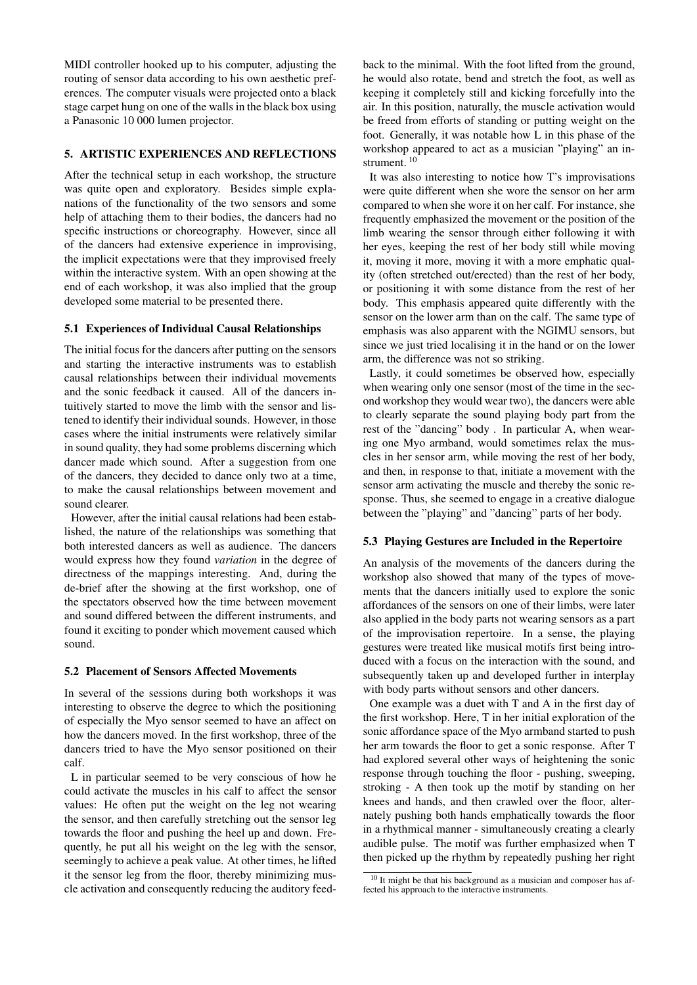MIDI controller hooked up to his computer, adjusting the routing of sensor data according to his own aesthetic preferences. The computer visuals were projected onto a black stage carpet hung on one of the walls in the black box using a Panasonic 10 000 lumen projector.

# 5. ARTISTIC EXPERIENCES AND REFLECTIONS

After the technical setup in each workshop, the structure was quite open and exploratory. Besides simple explanations of the functionality of the two sensors and some help of attaching them to their bodies, the dancers had no specific instructions or choreography. However, since all of the dancers had extensive experience in improvising, the implicit expectations were that they improvised freely within the interactive system. With an open showing at the end of each workshop, it was also implied that the group developed some material to be presented there.

# 5.1 Experiences of Individual Causal Relationships

The initial focus for the dancers after putting on the sensors and starting the interactive instruments was to establish causal relationships between their individual movements and the sonic feedback it caused. All of the dancers intuitively started to move the limb with the sensor and listened to identify their individual sounds. However, in those cases where the initial instruments were relatively similar in sound quality, they had some problems discerning which dancer made which sound. After a suggestion from one of the dancers, they decided to dance only two at a time, to make the causal relationships between movement and sound clearer.

However, after the initial causal relations had been established, the nature of the relationships was something that both interested dancers as well as audience. The dancers would express how they found *variation* in the degree of directness of the mappings interesting. And, during the de-brief after the showing at the first workshop, one of the spectators observed how the time between movement and sound differed between the different instruments, and found it exciting to ponder which movement caused which sound.

# 5.2 Placement of Sensors Affected Movements

In several of the sessions during both workshops it was interesting to observe the degree to which the positioning of especially the Myo sensor seemed to have an affect on how the dancers moved. In the first workshop, three of the dancers tried to have the Myo sensor positioned on their calf.

L in particular seemed to be very conscious of how he could activate the muscles in his calf to affect the sensor values: He often put the weight on the leg not wearing the sensor, and then carefully stretching out the sensor leg towards the floor and pushing the heel up and down. Frequently, he put all his weight on the leg with the sensor, seemingly to achieve a peak value. At other times, he lifted it the sensor leg from the floor, thereby minimizing muscle activation and consequently reducing the auditory feedback to the minimal. With the foot lifted from the ground, he would also rotate, bend and stretch the foot, as well as keeping it completely still and kicking forcefully into the air. In this position, naturally, the muscle activation would be freed from efforts of standing or putting weight on the foot. Generally, it was notable how L in this phase of the workshop appeared to act as a musician "playing" an in-strument.<sup>[10](#page-4-0)</sup>

It was also interesting to notice how T's improvisations were quite different when she wore the sensor on her arm compared to when she wore it on her calf. For instance, she frequently emphasized the movement or the position of the limb wearing the sensor through either following it with her eyes, keeping the rest of her body still while moving it, moving it more, moving it with a more emphatic quality (often stretched out/erected) than the rest of her body, or positioning it with some distance from the rest of her body. This emphasis appeared quite differently with the sensor on the lower arm than on the calf. The same type of emphasis was also apparent with the NGIMU sensors, but since we just tried localising it in the hand or on the lower arm, the difference was not so striking.

Lastly, it could sometimes be observed how, especially when wearing only one sensor (most of the time in the second workshop they would wear two), the dancers were able to clearly separate the sound playing body part from the rest of the "dancing" body . In particular A, when wearing one Myo armband, would sometimes relax the muscles in her sensor arm, while moving the rest of her body, and then, in response to that, initiate a movement with the sensor arm activating the muscle and thereby the sonic response. Thus, she seemed to engage in a creative dialogue between the "playing" and "dancing" parts of her body.

#### 5.3 Playing Gestures are Included in the Repertoire

An analysis of the movements of the dancers during the workshop also showed that many of the types of movements that the dancers initially used to explore the sonic affordances of the sensors on one of their limbs, were later also applied in the body parts not wearing sensors as a part of the improvisation repertoire. In a sense, the playing gestures were treated like musical motifs first being introduced with a focus on the interaction with the sound, and subsequently taken up and developed further in interplay with body parts without sensors and other dancers.

One example was a duet with T and A in the first day of the first workshop. Here, T in her initial exploration of the sonic affordance space of the Myo armband started to push her arm towards the floor to get a sonic response. After T had explored several other ways of heightening the sonic response through touching the floor - pushing, sweeping, stroking - A then took up the motif by standing on her knees and hands, and then crawled over the floor, alternately pushing both hands emphatically towards the floor in a rhythmical manner - simultaneously creating a clearly audible pulse. The motif was further emphasized when T then picked up the rhythm by repeatedly pushing her right

<span id="page-4-0"></span><sup>10</sup> It might be that his background as a musician and composer has affected his approach to the interactive instruments.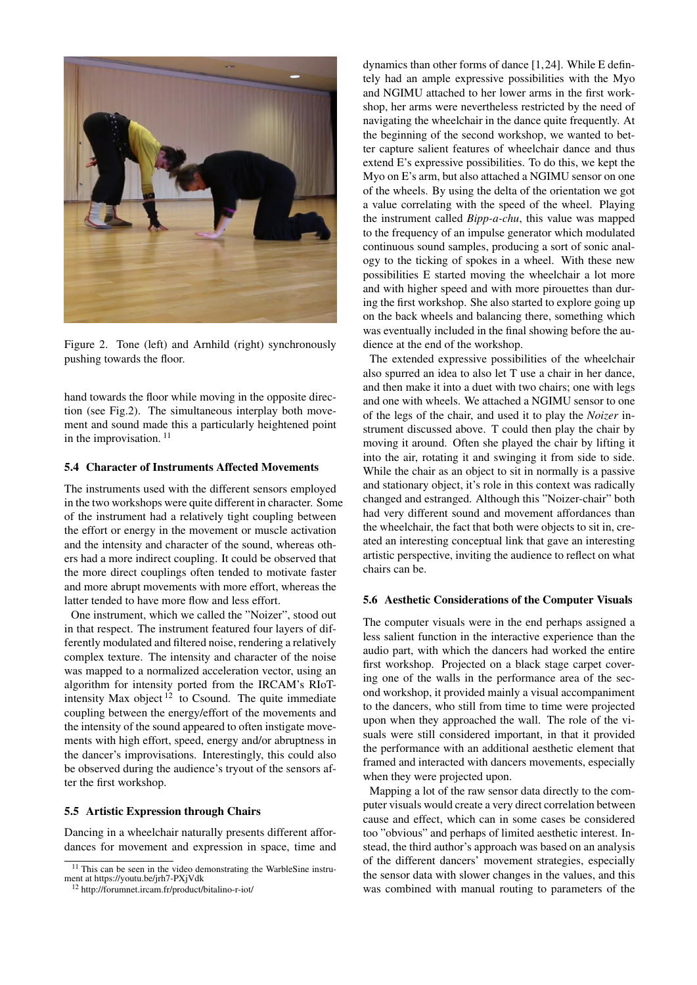<span id="page-5-0"></span>

Figure 2. Tone (left) and Arnhild (right) synchronously pushing towards the floor.

hand towards the floor while moving in the opposite direction (see Fig[.2\)](#page-5-0). The simultaneous interplay both movement and sound made this a particularly heightened point in the improvisation.<sup>[11](#page-5-1)</sup>

# 5.4 Character of Instruments Affected Movements

The instruments used with the different sensors employed in the two workshops were quite different in character. Some of the instrument had a relatively tight coupling between the effort or energy in the movement or muscle activation and the intensity and character of the sound, whereas others had a more indirect coupling. It could be observed that the more direct couplings often tended to motivate faster and more abrupt movements with more effort, whereas the latter tended to have more flow and less effort.

One instrument, which we called the "Noizer", stood out in that respect. The instrument featured four layers of differently modulated and filtered noise, rendering a relatively complex texture. The intensity and character of the noise was mapped to a normalized acceleration vector, using an algorithm for intensity ported from the IRCAM's RIoTintensity Max object  $12$  to Csound. The quite immediate coupling between the energy/effort of the movements and the intensity of the sound appeared to often instigate movements with high effort, speed, energy and/or abruptness in the dancer's improvisations. Interestingly, this could also be observed during the audience's tryout of the sensors after the first workshop.

#### 5.5 Artistic Expression through Chairs

Dancing in a wheelchair naturally presents different affordances for movement and expression in space, time and dynamics than other forms of dance [\[1,](#page-6-0)[24\]](#page-7-17). While E defintely had an ample expressive possibilities with the Myo and NGIMU attached to her lower arms in the first workshop, her arms were nevertheless restricted by the need of navigating the wheelchair in the dance quite frequently. At the beginning of the second workshop, we wanted to better capture salient features of wheelchair dance and thus extend E's expressive possibilities. To do this, we kept the Myo on E's arm, but also attached a NGIMU sensor on one of the wheels. By using the delta of the orientation we got a value correlating with the speed of the wheel. Playing the instrument called *Bipp-a-chu*, this value was mapped to the frequency of an impulse generator which modulated continuous sound samples, producing a sort of sonic analogy to the ticking of spokes in a wheel. With these new possibilities E started moving the wheelchair a lot more and with higher speed and with more pirouettes than during the first workshop. She also started to explore going up on the back wheels and balancing there, something which was eventually included in the final showing before the audience at the end of the workshop.

The extended expressive possibilities of the wheelchair also spurred an idea to also let T use a chair in her dance, and then make it into a duet with two chairs; one with legs and one with wheels. We attached a NGIMU sensor to one of the legs of the chair, and used it to play the *Noizer* instrument discussed above. T could then play the chair by moving it around. Often she played the chair by lifting it into the air, rotating it and swinging it from side to side. While the chair as an object to sit in normally is a passive and stationary object, it's role in this context was radically changed and estranged. Although this "Noizer-chair" both had very different sound and movement affordances than the wheelchair, the fact that both were objects to sit in, created an interesting conceptual link that gave an interesting artistic perspective, inviting the audience to reflect on what chairs can be.

#### 5.6 Aesthetic Considerations of the Computer Visuals

The computer visuals were in the end perhaps assigned a less salient function in the interactive experience than the audio part, with which the dancers had worked the entire first workshop. Projected on a black stage carpet covering one of the walls in the performance area of the second workshop, it provided mainly a visual accompaniment to the dancers, who still from time to time were projected upon when they approached the wall. The role of the visuals were still considered important, in that it provided the performance with an additional aesthetic element that framed and interacted with dancers movements, especially when they were projected upon.

Mapping a lot of the raw sensor data directly to the computer visuals would create a very direct correlation between cause and effect, which can in some cases be considered too "obvious" and perhaps of limited aesthetic interest. Instead, the third author's approach was based on an analysis of the different dancers' movement strategies, especially the sensor data with slower changes in the values, and this was combined with manual routing to parameters of the

<span id="page-5-1"></span><sup>&</sup>lt;sup>11</sup> This can be seen in the video demonstrating the WarbleSine instrument at https://youtu.be/jrh7-PXjVdk

<span id="page-5-2"></span><sup>12</sup> http://forumnet.ircam.fr/product/bitalino-r-iot/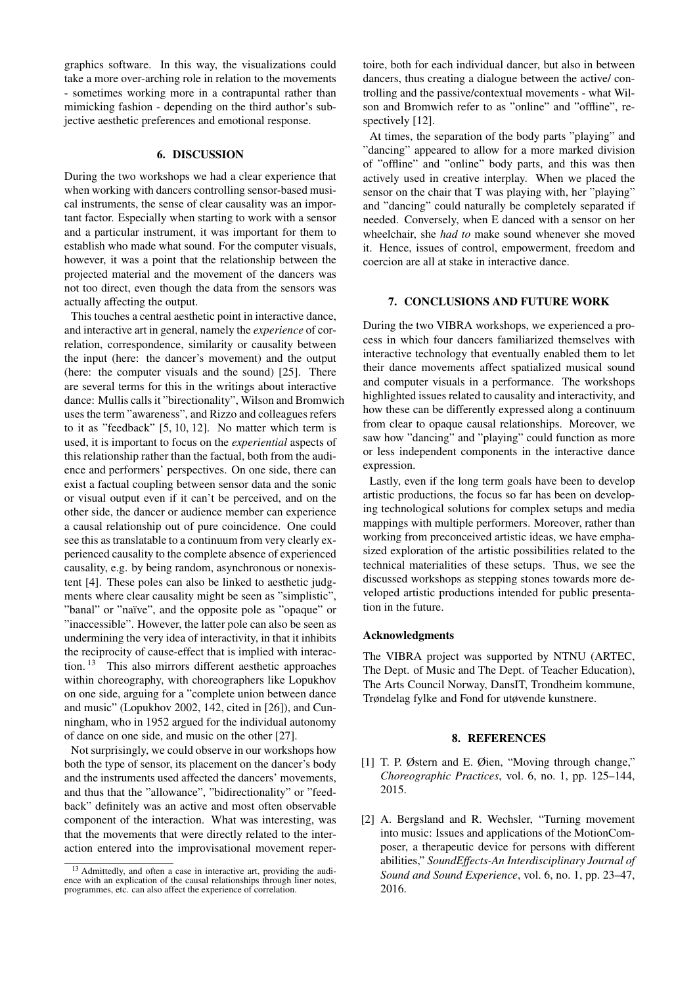graphics software. In this way, the visualizations could take a more over-arching role in relation to the movements - sometimes working more in a contrapuntal rather than mimicking fashion - depending on the third author's subjective aesthetic preferences and emotional response.

# 6. DISCUSSION

During the two workshops we had a clear experience that when working with dancers controlling sensor-based musical instruments, the sense of clear causality was an important factor. Especially when starting to work with a sensor and a particular instrument, it was important for them to establish who made what sound. For the computer visuals, however, it was a point that the relationship between the projected material and the movement of the dancers was not too direct, even though the data from the sensors was actually affecting the output.

This touches a central aesthetic point in interactive dance, and interactive art in general, namely the *experience* of correlation, correspondence, similarity or causality between the input (here: the dancer's movement) and the output (here: the computer visuals and the sound) [\[25\]](#page-7-18). There are several terms for this in the writings about interactive dance: Mullis calls it "birectionality", Wilson and Bromwich uses the term "awareness", and Rizzo and colleagues refers to it as "feedback" [\[5,](#page-7-2) [10,](#page-7-3) [12\]](#page-7-6). No matter which term is used, it is important to focus on the *experiential* aspects of this relationship rather than the factual, both from the audience and performers' perspectives. On one side, there can exist a factual coupling between sensor data and the sonic or visual output even if it can't be perceived, and on the other side, the dancer or audience member can experience a causal relationship out of pure coincidence. One could see this as translatable to a continuum from very clearly experienced causality to the complete absence of experienced causality, e.g. by being random, asynchronous or nonexistent [\[4\]](#page-7-1). These poles can also be linked to aesthetic judgments where clear causality might be seen as "simplistic", "banal" or "naïve", and the opposite pole as "opaque" or "inaccessible". However, the latter pole can also be seen as undermining the very idea of interactivity, in that it inhibits the reciprocity of cause-effect that is implied with interaction. [13](#page-6-2) This also mirrors different aesthetic approaches within choreography, with choreographers like Lopukhov on one side, arguing for a "complete union between dance and music" (Lopukhov 2002, 142, cited in [\[26\]](#page-7-19)), and Cunningham, who in 1952 argued for the individual autonomy of dance on one side, and music on the other [\[27\]](#page-7-20).

Not surprisingly, we could observe in our workshops how both the type of sensor, its placement on the dancer's body and the instruments used affected the dancers' movements, and thus that the "allowance", "bidirectionality" or "feedback" definitely was an active and most often observable component of the interaction. What was interesting, was that the movements that were directly related to the interaction entered into the improvisational movement repertoire, both for each individual dancer, but also in between dancers, thus creating a dialogue between the active/ controlling and the passive/contextual movements - what Wilson and Bromwich refer to as "online" and "offline", re-spectively [\[12\]](#page-7-6).

At times, the separation of the body parts "playing" and "dancing" appeared to allow for a more marked division of "offline" and "online" body parts, and this was then actively used in creative interplay. When we placed the sensor on the chair that T was playing with, her "playing" and "dancing" could naturally be completely separated if needed. Conversely, when E danced with a sensor on her wheelchair, she *had to* make sound whenever she moved it. Hence, issues of control, empowerment, freedom and coercion are all at stake in interactive dance.

# 7. CONCLUSIONS AND FUTURE WORK

During the two VIBRA workshops, we experienced a process in which four dancers familiarized themselves with interactive technology that eventually enabled them to let their dance movements affect spatialized musical sound and computer visuals in a performance. The workshops highlighted issues related to causality and interactivity, and how these can be differently expressed along a continuum from clear to opaque causal relationships. Moreover, we saw how "dancing" and "playing" could function as more or less independent components in the interactive dance expression.

Lastly, even if the long term goals have been to develop artistic productions, the focus so far has been on developing technological solutions for complex setups and media mappings with multiple performers. Moreover, rather than working from preconceived artistic ideas, we have emphasized exploration of the artistic possibilities related to the technical materialities of these setups. Thus, we see the discussed workshops as stepping stones towards more developed artistic productions intended for public presentation in the future.

#### Acknowledgments

The VIBRA project was supported by NTNU (ARTEC, The Dept. of Music and The Dept. of Teacher Education), The Arts Council Norway, DansIT, Trondheim kommune, Trøndelag fylke and Fond for utøvende kunstnere.

#### 8. REFERENCES

- <span id="page-6-0"></span>[1] T. P. Østern and E. Øien, "Moving through change," *Choreographic Practices*, vol. 6, no. 1, pp. 125–144, 2015.
- <span id="page-6-1"></span>[2] A. Bergsland and R. Wechsler, "Turning movement into music: Issues and applications of the MotionComposer, a therapeutic device for persons with different abilities," *SoundEffects-An Interdisciplinary Journal of Sound and Sound Experience*, vol. 6, no. 1, pp. 23–47, 2016.

<span id="page-6-2"></span><sup>&</sup>lt;sup>13</sup> Admittedly, and often a case in interactive art, providing the audi-<br>ence with an explication of the causal relationships through liner notes, programmes, etc. can also affect the experience of correlation.